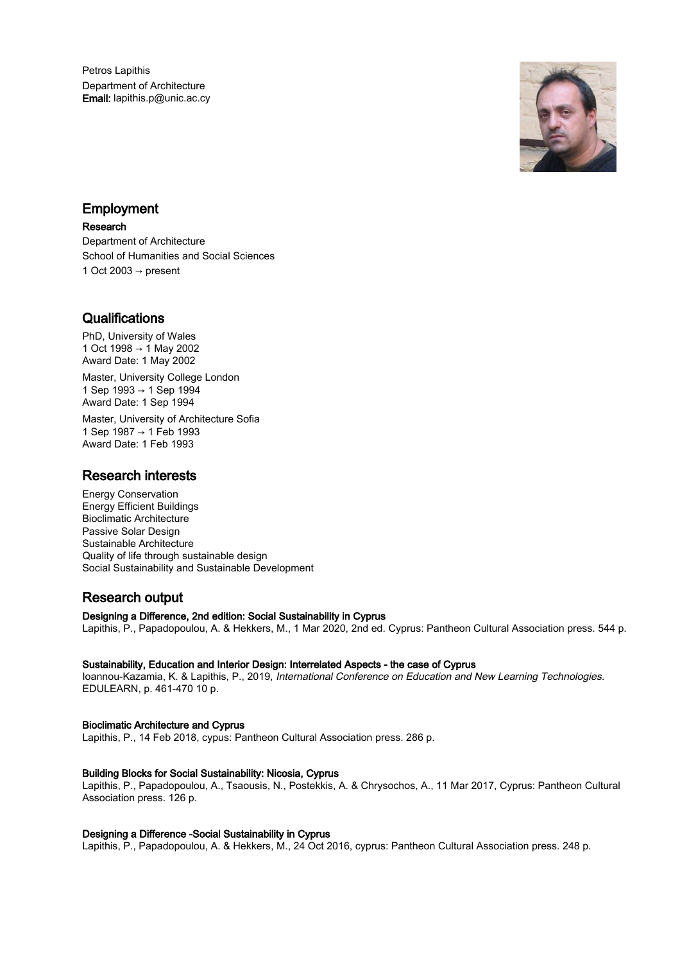Petros Lapithis Department of Architecture Email: lapithis.p@unic.ac.cy



# Employment

### Research

Department of Architecture School of Humanities and Social Sciences 1 Oct 2003  $\rightarrow$  present

# **Qualifications**

PhD, University of Wales 1 Oct 1998 → 1 May 2002 Award Date: 1 May 2002

Master, University College London 1 Sep 1993 → 1 Sep 1994 Award Date: 1 Sep 1994

Master, University of Architecture Sofia 1 Sep 1987 → 1 Feb 1993 Award Date: 1 Feb 1993

# Research interests

Energy Conservation Energy Efficient Buildings Bioclimatic Architecture Passive Solar Design Sustainable Architecture Quality of life through sustainable design Social Sustainability and Sustainable Development

# Research output

# Designing a Difference, 2nd edition: Social Sustainability in Cyprus

Lapithis, P., Papadopoulou, A. & Hekkers, M., 1 Mar 2020, 2nd ed. Cyprus: Pantheon Cultural Association press. 544 p.

# Sustainability, Education and Interior Design: Interrelated Aspects - the case of Cyprus

Ioannou-Kazamia, K. & Lapithis, P., 2019, International Conference on Education and New Learning Technologies. EDULEARN, p. 461-470 10 p.

# Bioclimatic Architecture and Cyprus

Lapithis, P., 14 Feb 2018, cypus: Pantheon Cultural Association press. 286 p.

# Building Blocks for Social Sustainability: Nicosia, Cyprus

Lapithis, P., Papadopoulou, A., Tsaousis, N., Postekkis, A. & Chrysochos, A., 11 Mar 2017, Cyprus: Pantheon Cultural Association press. 126 p.

# Designing a Difference -Social Sustainability in Cyprus

Lapithis, P., Papadopoulou, A. & Hekkers, M., 24 Oct 2016, cyprus: Pantheon Cultural Association press. 248 p.